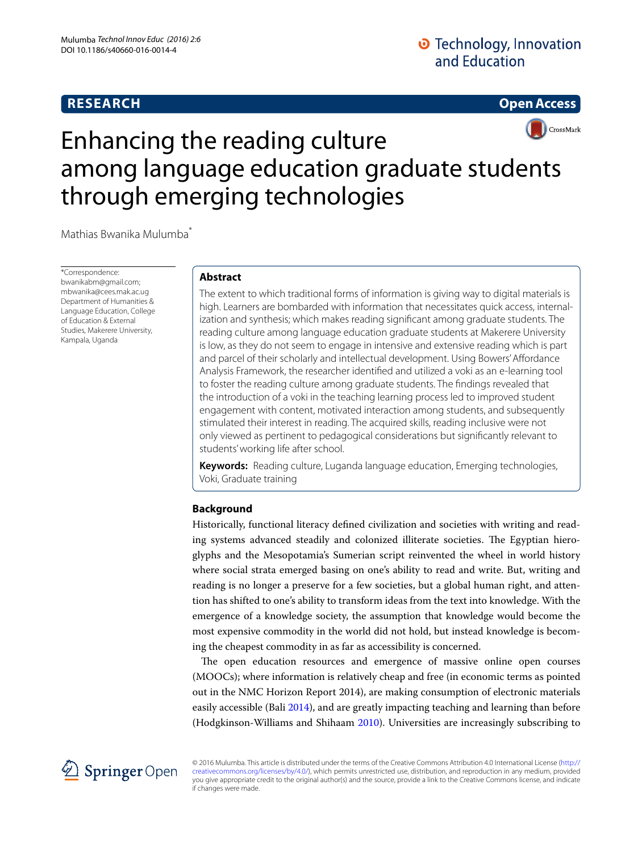# **RESEARCH**

# O Technology, Innovation and Education





# Enhancing the reading culture among language education graduate students through emerging technologies

Mathias Bwanika Mulumba\*

\*Correspondence: bwanikabm@gmail.com; mbwanika@cees.mak.ac.ug Department of Humanities & Language Education, College of Education & External Studies, Makerere University, Kampala, Uganda

# **Abstract**

The extent to which traditional forms of information is giving way to digital materials is high. Learners are bombarded with information that necessitates quick access, internalization and synthesis; which makes reading significant among graduate students. The reading culture among language education graduate students at Makerere University is low, as they do not seem to engage in intensive and extensive reading which is part and parcel of their scholarly and intellectual development. Using Bowers' Affordance Analysis Framework, the researcher identified and utilized a voki as an e-learning tool to foster the reading culture among graduate students. The findings revealed that the introduction of a voki in the teaching learning process led to improved student engagement with content, motivated interaction among students, and subsequently stimulated their interest in reading. The acquired skills, reading inclusive were not only viewed as pertinent to pedagogical considerations but significantly relevant to students' working life after school.

**Keywords:** Reading culture, Luganda language education, Emerging technologies, Voki, Graduate training

# **Background**

Historically, functional literacy defined civilization and societies with writing and reading systems advanced steadily and colonized illiterate societies. The Egyptian hieroglyphs and the Mesopotamia's Sumerian script reinvented the wheel in world history where social strata emerged basing on one's ability to read and write. But, writing and reading is no longer a preserve for a few societies, but a global human right, and attention has shifted to one's ability to transform ideas from the text into knowledge. With the emergence of a knowledge society, the assumption that knowledge would become the most expensive commodity in the world did not hold, but instead knowledge is becoming the cheapest commodity in as far as accessibility is concerned.

The open education resources and emergence of massive online open courses (MOOCs); where information is relatively cheap and free (in economic terms as pointed out in the NMC Horizon Report 2014), are making consumption of electronic materials easily accessible (Bali [2014](#page-11-0)), and are greatly impacting teaching and learning than before (Hodgkinson-Williams and Shihaam [2010\)](#page-11-1). Universities are increasingly subscribing to



© 2016 Mulumba. This article is distributed under the terms of the Creative Commons Attribution 4.0 International License ([http://](http://creativecommons.org/licenses/by/4.0/) [creativecommons.org/licenses/by/4.0/](http://creativecommons.org/licenses/by/4.0/)), which permits unrestricted use, distribution, and reproduction in any medium, provided you give appropriate credit to the original author(s) and the source, provide a link to the Creative Commons license, and indicate if changes were made.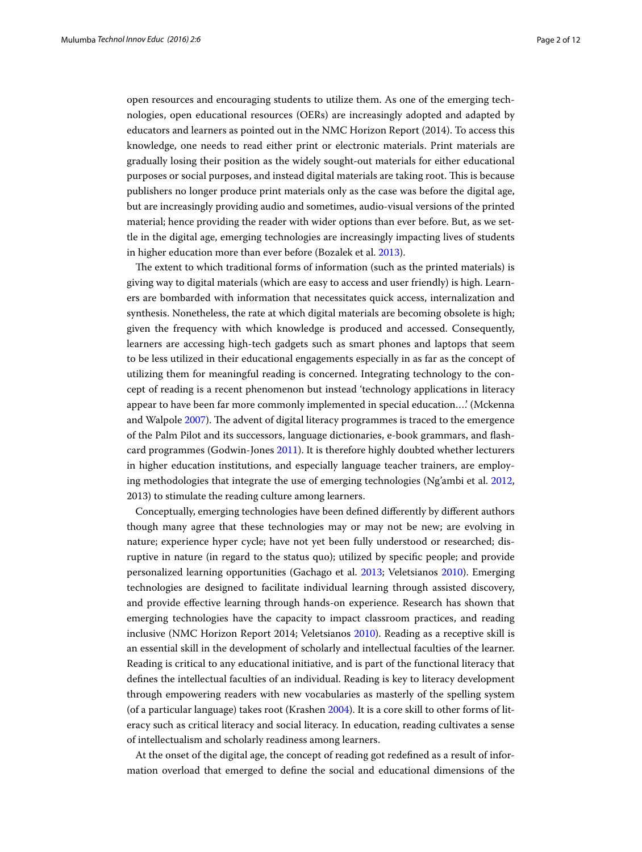open resources and encouraging students to utilize them. As one of the emerging technologies, open educational resources (OERs) are increasingly adopted and adapted by educators and learners as pointed out in the NMC Horizon Report (2014). To access this knowledge, one needs to read either print or electronic materials. Print materials are gradually losing their position as the widely sought-out materials for either educational purposes or social purposes, and instead digital materials are taking root. This is because publishers no longer produce print materials only as the case was before the digital age, but are increasingly providing audio and sometimes, audio-visual versions of the printed material; hence providing the reader with wider options than ever before. But, as we settle in the digital age, emerging technologies are increasingly impacting lives of students in higher education more than ever before (Bozalek et al. [2013\)](#page-11-2).

The extent to which traditional forms of information (such as the printed materials) is giving way to digital materials (which are easy to access and user friendly) is high. Learners are bombarded with information that necessitates quick access, internalization and synthesis. Nonetheless, the rate at which digital materials are becoming obsolete is high; given the frequency with which knowledge is produced and accessed. Consequently, learners are accessing high-tech gadgets such as smart phones and laptops that seem to be less utilized in their educational engagements especially in as far as the concept of utilizing them for meaningful reading is concerned. Integrating technology to the concept of reading is a recent phenomenon but instead 'technology applications in literacy appear to have been far more commonly implemented in special education….' (Mckenna and Walpole [2007\)](#page-11-3). The advent of digital literacy programmes is traced to the emergence of the Palm Pilot and its successors, language dictionaries, e-book grammars, and flashcard programmes (Godwin-Jones [2011\)](#page-11-4). It is therefore highly doubted whether lecturers in higher education institutions, and especially language teacher trainers, are employing methodologies that integrate the use of emerging technologies (Ng'ambi et al. [2012](#page-11-5), 2013) to stimulate the reading culture among learners.

Conceptually, emerging technologies have been defined differently by different authors though many agree that these technologies may or may not be new; are evolving in nature; experience hyper cycle; have not yet been fully understood or researched; disruptive in nature (in regard to the status quo); utilized by specific people; and provide personalized learning opportunities (Gachago et al. [2013;](#page-11-6) Veletsianos [2010](#page-11-7)). Emerging technologies are designed to facilitate individual learning through assisted discovery, and provide effective learning through hands-on experience. Research has shown that emerging technologies have the capacity to impact classroom practices, and reading inclusive (NMC Horizon Report 2014; Veletsianos [2010](#page-11-7)). Reading as a receptive skill is an essential skill in the development of scholarly and intellectual faculties of the learner. Reading is critical to any educational initiative, and is part of the functional literacy that defines the intellectual faculties of an individual. Reading is key to literacy development through empowering readers with new vocabularies as masterly of the spelling system (of a particular language) takes root (Krashen [2004](#page-11-8)). It is a core skill to other forms of literacy such as critical literacy and social literacy. In education, reading cultivates a sense of intellectualism and scholarly readiness among learners.

At the onset of the digital age, the concept of reading got redefined as a result of information overload that emerged to define the social and educational dimensions of the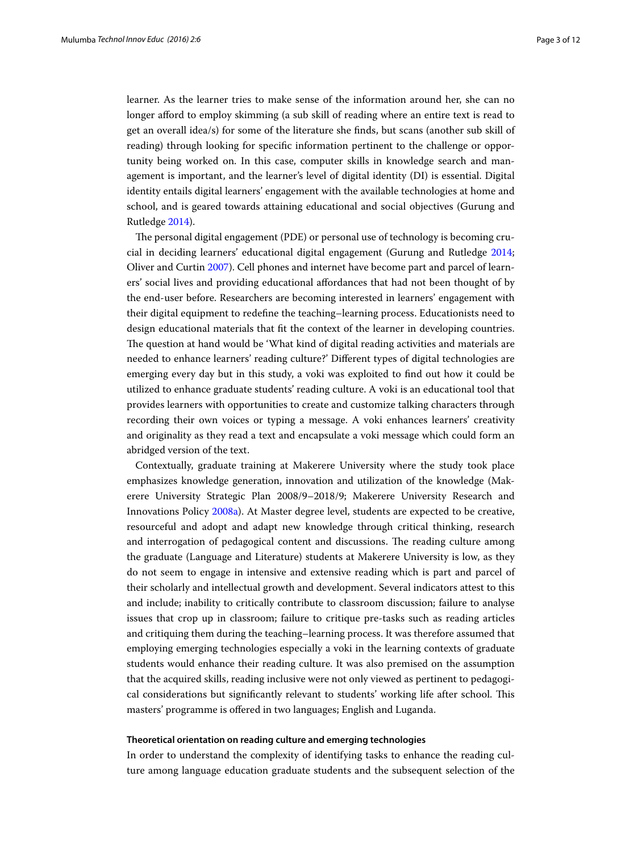learner. As the learner tries to make sense of the information around her, she can no longer afford to employ skimming (a sub skill of reading where an entire text is read to get an overall idea/s) for some of the literature she finds, but scans (another sub skill of reading) through looking for specific information pertinent to the challenge or opportunity being worked on. In this case, computer skills in knowledge search and management is important, and the learner's level of digital identity (DI) is essential. Digital identity entails digital learners' engagement with the available technologies at home and school, and is geared towards attaining educational and social objectives (Gurung and Rutledge [2014\)](#page-11-9).

The personal digital engagement (PDE) or personal use of technology is becoming crucial in deciding learners' educational digital engagement (Gurung and Rutledge [2014](#page-11-9); Oliver and Curtin [2007](#page-11-10)). Cell phones and internet have become part and parcel of learners' social lives and providing educational affordances that had not been thought of by the end-user before. Researchers are becoming interested in learners' engagement with their digital equipment to redefine the teaching–learning process. Educationists need to design educational materials that fit the context of the learner in developing countries. The question at hand would be 'What kind of digital reading activities and materials are needed to enhance learners' reading culture?' Different types of digital technologies are emerging every day but in this study, a voki was exploited to find out how it could be utilized to enhance graduate students' reading culture. A voki is an educational tool that provides learners with opportunities to create and customize talking characters through recording their own voices or typing a message. A voki enhances learners' creativity and originality as they read a text and encapsulate a voki message which could form an abridged version of the text.

Contextually, graduate training at Makerere University where the study took place emphasizes knowledge generation, innovation and utilization of the knowledge (Makerere University Strategic Plan 2008/9–2018/9; Makerere University Research and Innovations Policy [2008a\)](#page-11-11). At Master degree level, students are expected to be creative, resourceful and adopt and adapt new knowledge through critical thinking, research and interrogation of pedagogical content and discussions. The reading culture among the graduate (Language and Literature) students at Makerere University is low, as they do not seem to engage in intensive and extensive reading which is part and parcel of their scholarly and intellectual growth and development. Several indicators attest to this and include; inability to critically contribute to classroom discussion; failure to analyse issues that crop up in classroom; failure to critique pre-tasks such as reading articles and critiquing them during the teaching–learning process. It was therefore assumed that employing emerging technologies especially a voki in the learning contexts of graduate students would enhance their reading culture. It was also premised on the assumption that the acquired skills, reading inclusive were not only viewed as pertinent to pedagogical considerations but significantly relevant to students' working life after school. This masters' programme is offered in two languages; English and Luganda.

#### **Theoretical orientation on reading culture and emerging technologies**

In order to understand the complexity of identifying tasks to enhance the reading culture among language education graduate students and the subsequent selection of the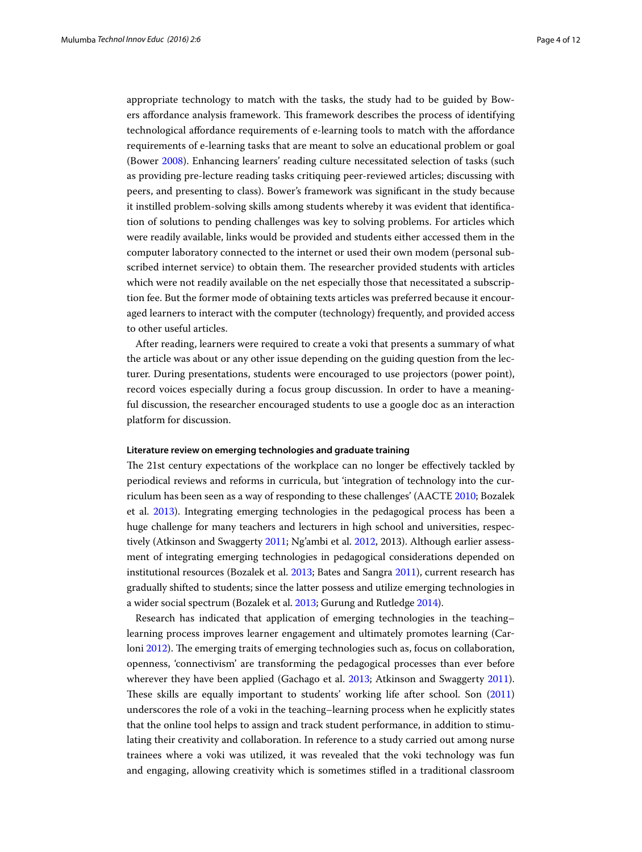appropriate technology to match with the tasks, the study had to be guided by Bowers affordance analysis framework. This framework describes the process of identifying technological affordance requirements of e-learning tools to match with the affordance requirements of e-learning tasks that are meant to solve an educational problem or goal (Bower [2008\)](#page-11-12). Enhancing learners' reading culture necessitated selection of tasks (such as providing pre-lecture reading tasks critiquing peer-reviewed articles; discussing with peers, and presenting to class). Bower's framework was significant in the study because it instilled problem-solving skills among students whereby it was evident that identification of solutions to pending challenges was key to solving problems. For articles which were readily available, links would be provided and students either accessed them in the computer laboratory connected to the internet or used their own modem (personal subscribed internet service) to obtain them. The researcher provided students with articles which were not readily available on the net especially those that necessitated a subscription fee. But the former mode of obtaining texts articles was preferred because it encouraged learners to interact with the computer (technology) frequently, and provided access to other useful articles.

After reading, learners were required to create a voki that presents a summary of what the article was about or any other issue depending on the guiding question from the lecturer. During presentations, students were encouraged to use projectors (power point), record voices especially during a focus group discussion. In order to have a meaningful discussion, the researcher encouraged students to use a google doc as an interaction platform for discussion.

### **Literature review on emerging technologies and graduate training**

The 21st century expectations of the workplace can no longer be effectively tackled by periodical reviews and reforms in curricula, but 'integration of technology into the curriculum has been seen as a way of responding to these challenges' (AACTE [2010](#page-11-13); Bozalek et al. [2013\)](#page-11-2). Integrating emerging technologies in the pedagogical process has been a huge challenge for many teachers and lecturers in high school and universities, respec-tively (Atkinson and Swaggerty [2011;](#page-11-14) Ng'ambi et al. [2012](#page-11-5), 2013). Although earlier assessment of integrating emerging technologies in pedagogical considerations depended on institutional resources (Bozalek et al. [2013;](#page-11-2) Bates and Sangra [2011](#page-11-15)), current research has gradually shifted to students; since the latter possess and utilize emerging technologies in a wider social spectrum (Bozalek et al. [2013](#page-11-2); Gurung and Rutledge [2014](#page-11-9)).

Research has indicated that application of emerging technologies in the teaching– learning process improves learner engagement and ultimately promotes learning (Carloni [2012](#page-11-16)). The emerging traits of emerging technologies such as, focus on collaboration, openness, 'connectivism' are transforming the pedagogical processes than ever before wherever they have been applied (Gachago et al. [2013](#page-11-6); Atkinson and Swaggerty [2011](#page-11-14)). These skills are equally important to students' working life after school. Son ([2011](#page-11-17)) underscores the role of a voki in the teaching–learning process when he explicitly states that the online tool helps to assign and track student performance, in addition to stimulating their creativity and collaboration. In reference to a study carried out among nurse trainees where a voki was utilized, it was revealed that the voki technology was fun and engaging, allowing creativity which is sometimes stifled in a traditional classroom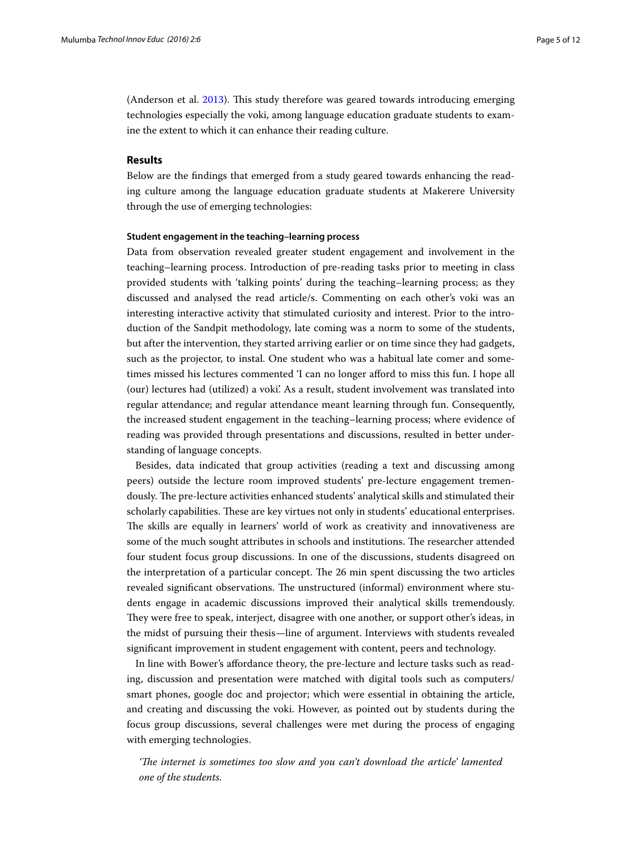(Anderson et al. [2013\)](#page-11-18). This study therefore was geared towards introducing emerging technologies especially the voki, among language education graduate students to examine the extent to which it can enhance their reading culture.

### **Results**

Below are the findings that emerged from a study geared towards enhancing the reading culture among the language education graduate students at Makerere University through the use of emerging technologies:

#### **Student engagement in the teaching–learning process**

Data from observation revealed greater student engagement and involvement in the teaching–learning process. Introduction of pre-reading tasks prior to meeting in class provided students with 'talking points' during the teaching–learning process; as they discussed and analysed the read article/s. Commenting on each other's voki was an interesting interactive activity that stimulated curiosity and interest. Prior to the introduction of the Sandpit methodology, late coming was a norm to some of the students, but after the intervention, they started arriving earlier or on time since they had gadgets, such as the projector, to instal. One student who was a habitual late comer and sometimes missed his lectures commented 'I can no longer afford to miss this fun. I hope all (our) lectures had (utilized) a voki'. As a result, student involvement was translated into regular attendance; and regular attendance meant learning through fun. Consequently, the increased student engagement in the teaching–learning process; where evidence of reading was provided through presentations and discussions, resulted in better understanding of language concepts.

Besides, data indicated that group activities (reading a text and discussing among peers) outside the lecture room improved students' pre-lecture engagement tremendously. The pre-lecture activities enhanced students' analytical skills and stimulated their scholarly capabilities. These are key virtues not only in students' educational enterprises. The skills are equally in learners' world of work as creativity and innovativeness are some of the much sought attributes in schools and institutions. The researcher attended four student focus group discussions. In one of the discussions, students disagreed on the interpretation of a particular concept. The 26 min spent discussing the two articles revealed significant observations. The unstructured (informal) environment where students engage in academic discussions improved their analytical skills tremendously. They were free to speak, interject, disagree with one another, or support other's ideas, in the midst of pursuing their thesis—line of argument. Interviews with students revealed significant improvement in student engagement with content, peers and technology.

In line with Bower's affordance theory, the pre-lecture and lecture tasks such as reading, discussion and presentation were matched with digital tools such as computers/ smart phones, google doc and projector; which were essential in obtaining the article, and creating and discussing the voki. However, as pointed out by students during the focus group discussions, several challenges were met during the process of engaging with emerging technologies.

'The internet is sometimes too slow and you can't download the article' lamented *one of the students.*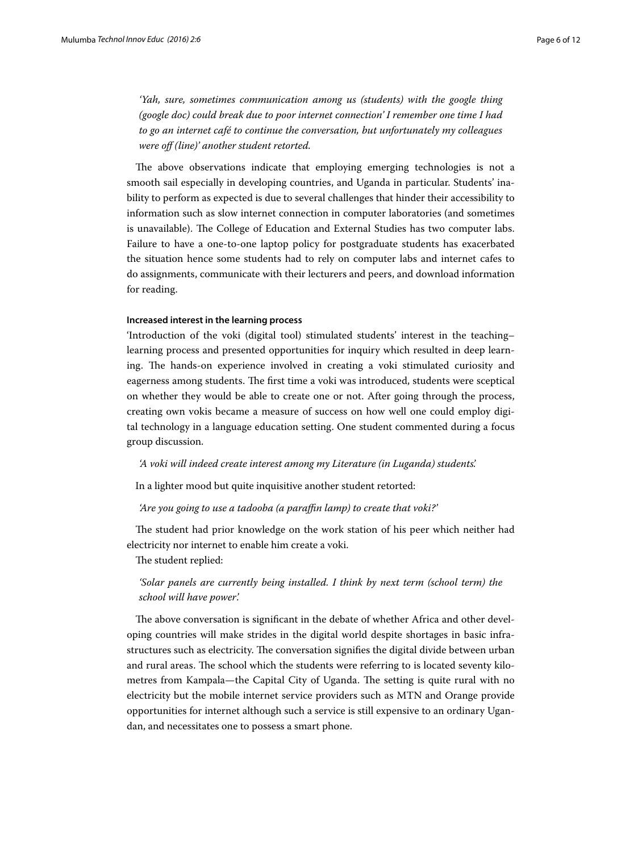*'Yah, sure, sometimes communication among us (students) with the google thing (google doc) could break due to poor internet connection' I remember one time I had to go an internet café to continue the conversation, but unfortunately my colleagues were off (line)' another student retorted.*

The above observations indicate that employing emerging technologies is not a smooth sail especially in developing countries, and Uganda in particular. Students' inability to perform as expected is due to several challenges that hinder their accessibility to information such as slow internet connection in computer laboratories (and sometimes is unavailable). The College of Education and External Studies has two computer labs. Failure to have a one-to-one laptop policy for postgraduate students has exacerbated the situation hence some students had to rely on computer labs and internet cafes to do assignments, communicate with their lecturers and peers, and download information for reading.

#### **Increased interest in the learning process**

'Introduction of the voki (digital tool) stimulated students' interest in the teaching– learning process and presented opportunities for inquiry which resulted in deep learning. The hands-on experience involved in creating a voki stimulated curiosity and eagerness among students. The first time a voki was introduced, students were sceptical on whether they would be able to create one or not. After going through the process, creating own vokis became a measure of success on how well one could employ digital technology in a language education setting. One student commented during a focus group discussion.

*'A voki will indeed create interest among my Literature (in Luganda) students'.*

In a lighter mood but quite inquisitive another student retorted:

#### *'Are you going to use a tadooba (a paraffin lamp) to create that voki?'*

The student had prior knowledge on the work station of his peer which neither had electricity nor internet to enable him create a voki.

The student replied:

# *'Solar panels are currently being installed. I think by next term (school term) the school will have power'.*

The above conversation is significant in the debate of whether Africa and other developing countries will make strides in the digital world despite shortages in basic infrastructures such as electricity. The conversation signifies the digital divide between urban and rural areas. The school which the students were referring to is located seventy kilometres from Kampala—the Capital City of Uganda. The setting is quite rural with no electricity but the mobile internet service providers such as MTN and Orange provide opportunities for internet although such a service is still expensive to an ordinary Ugandan, and necessitates one to possess a smart phone.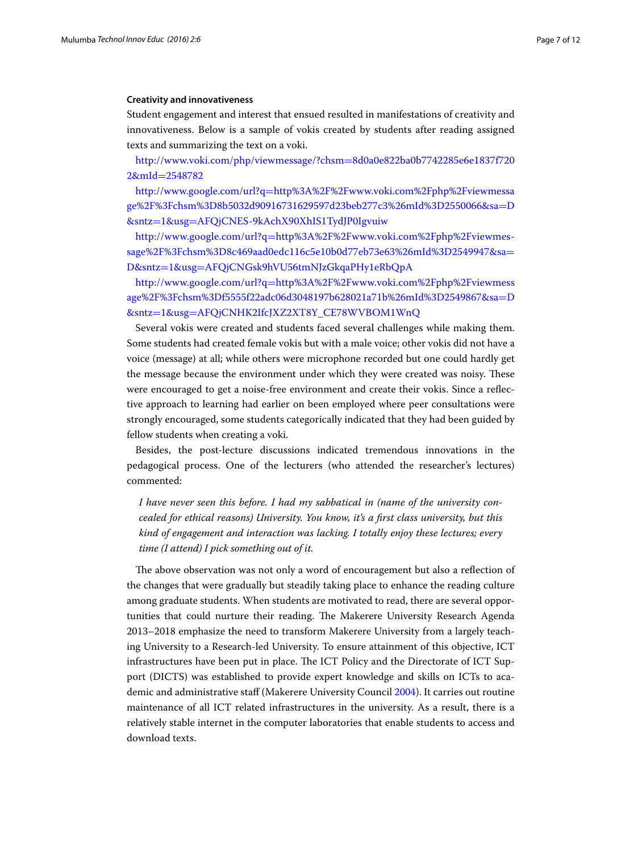## **Creativity and innovativeness**

Student engagement and interest that ensued resulted in manifestations of creativity and innovativeness. Below is a sample of vokis created by students after reading assigned texts and summarizing the text on a voki.

[http://www.voki.com/php/viewmessage/?chsm](http://www.voki.com/php/viewmessage/?chsm=8d0a0e822ba0b7742285e6e1837f7202&mId=2548782)=8d0a0e822ba0b7742285e6e1837f720 2&mId=[2548782](http://www.voki.com/php/viewmessage/?chsm=8d0a0e822ba0b7742285e6e1837f7202&mId=2548782)

http://www.google.com/url?q=[http%3A%2F%2Fwww.voki.com%2Fphp%2Fviewmessa](http://www.google.com/url%3fq%3dhttp%253A%252F%252Fwww.voki.com%252Fphp%252Fviewmessage%252F%253Fchsm%253D8b5032d90916731629597d23beb277c3%2526mId%253D2550066%26sa%3dD%26sntz%3d1%26usg%3dAFQjCNES-9kAchX90XhIS1TydJP0Igvuiw) [ge%2F%3Fchsm%3D8b5032d90916731629597d23beb277c3%26mId%3D2550066&sa](http://www.google.com/url%3fq%3dhttp%253A%252F%252Fwww.voki.com%252Fphp%252Fviewmessage%252F%253Fchsm%253D8b5032d90916731629597d23beb277c3%2526mId%253D2550066%26sa%3dD%26sntz%3d1%26usg%3dAFQjCNES-9kAchX90XhIS1TydJP0Igvuiw)=D &sntz=1&usg=[AFQjCNES-9kAchX90XhIS1TydJP0Igvuiw](http://www.google.com/url%3fq%3dhttp%253A%252F%252Fwww.voki.com%252Fphp%252Fviewmessage%252F%253Fchsm%253D8b5032d90916731629597d23beb277c3%2526mId%253D2550066%26sa%3dD%26sntz%3d1%26usg%3dAFQjCNES-9kAchX90XhIS1TydJP0Igvuiw)

http://www.google.com/url?q=[http%3A%2F%2Fwww.voki.com%2Fphp%2Fviewmes](http://www.google.com/url%3fq%3dhttp%253A%252F%252Fwww.voki.com%252Fphp%252Fviewmessage%252F%253Fchsm%253D8c469aad0edc116c5e10b0d77eb73e63%2526mId%253D2549947%26sa%3dD%26sntz%3d1%26usg%3dAFQjCNGsk9hVU56tmNJzGkqaPHy1eRbQpA)[sage%2F%3Fchsm%3D8c469aad0edc116c5e10b0d77eb73e63%26mId%3D2549947&sa](http://www.google.com/url%3fq%3dhttp%253A%252F%252Fwww.voki.com%252Fphp%252Fviewmessage%252F%253Fchsm%253D8c469aad0edc116c5e10b0d77eb73e63%2526mId%253D2549947%26sa%3dD%26sntz%3d1%26usg%3dAFQjCNGsk9hVU56tmNJzGkqaPHy1eRbQpA)= D&sntz=1&usg=[AFQjCNGsk9hVU56tmNJzGkqaPHy1eRbQpA](http://www.google.com/url%3fq%3dhttp%253A%252F%252Fwww.voki.com%252Fphp%252Fviewmessage%252F%253Fchsm%253D8c469aad0edc116c5e10b0d77eb73e63%2526mId%253D2549947%26sa%3dD%26sntz%3d1%26usg%3dAFQjCNGsk9hVU56tmNJzGkqaPHy1eRbQpA)

http://www.google.com/url?q=[http%3A%2F%2Fwww.voki.com%2Fphp%2Fviewmess](http://www.google.com/url%3fq%3dhttp%253A%252F%252Fwww.voki.com%252Fphp%252Fviewmessage%252F%253Fchsm%253Df5555f22adc06d3048197b628021a71b%2526mId%253D2549867%26sa%3dD%26sntz%3d1%26usg%3dAFQjCNHK2IfcJXZ2XT8Y_CE78WVBOM1WnQ) [age%2F%3Fchsm%3Df5555f22adc06d3048197b628021a71b%26mId%3D2549867&sa](http://www.google.com/url%3fq%3dhttp%253A%252F%252Fwww.voki.com%252Fphp%252Fviewmessage%252F%253Fchsm%253Df5555f22adc06d3048197b628021a71b%2526mId%253D2549867%26sa%3dD%26sntz%3d1%26usg%3dAFQjCNHK2IfcJXZ2XT8Y_CE78WVBOM1WnQ)=D &sntz=1&usg=[AFQjCNHK2IfcJXZ2XT8Y\\_CE78WVBOM1WnQ](http://www.google.com/url%3fq%3dhttp%253A%252F%252Fwww.voki.com%252Fphp%252Fviewmessage%252F%253Fchsm%253Df5555f22adc06d3048197b628021a71b%2526mId%253D2549867%26sa%3dD%26sntz%3d1%26usg%3dAFQjCNHK2IfcJXZ2XT8Y_CE78WVBOM1WnQ)

Several vokis were created and students faced several challenges while making them. Some students had created female vokis but with a male voice; other vokis did not have a voice (message) at all; while others were microphone recorded but one could hardly get the message because the environment under which they were created was noisy. These were encouraged to get a noise-free environment and create their vokis. Since a reflective approach to learning had earlier on been employed where peer consultations were strongly encouraged, some students categorically indicated that they had been guided by fellow students when creating a voki.

Besides, the post-lecture discussions indicated tremendous innovations in the pedagogical process. One of the lecturers (who attended the researcher's lectures) commented:

*I have never seen this before. I had my sabbatical in (name of the university concealed for ethical reasons) University. You know, it's a first class university, but this kind of engagement and interaction was lacking. I totally enjoy these lectures; every time (I attend) I pick something out of it.*

The above observation was not only a word of encouragement but also a reflection of the changes that were gradually but steadily taking place to enhance the reading culture among graduate students. When students are motivated to read, there are several opportunities that could nurture their reading. The Makerere University Research Agenda 2013–2018 emphasize the need to transform Makerere University from a largely teaching University to a Research-led University. To ensure attainment of this objective, ICT infrastructures have been put in place. The ICT Policy and the Directorate of ICT Support (DICTS) was established to provide expert knowledge and skills on ICTs to academic and administrative staff (Makerere University Council [2004\)](#page-11-19). It carries out routine maintenance of all ICT related infrastructures in the university. As a result, there is a relatively stable internet in the computer laboratories that enable students to access and download texts.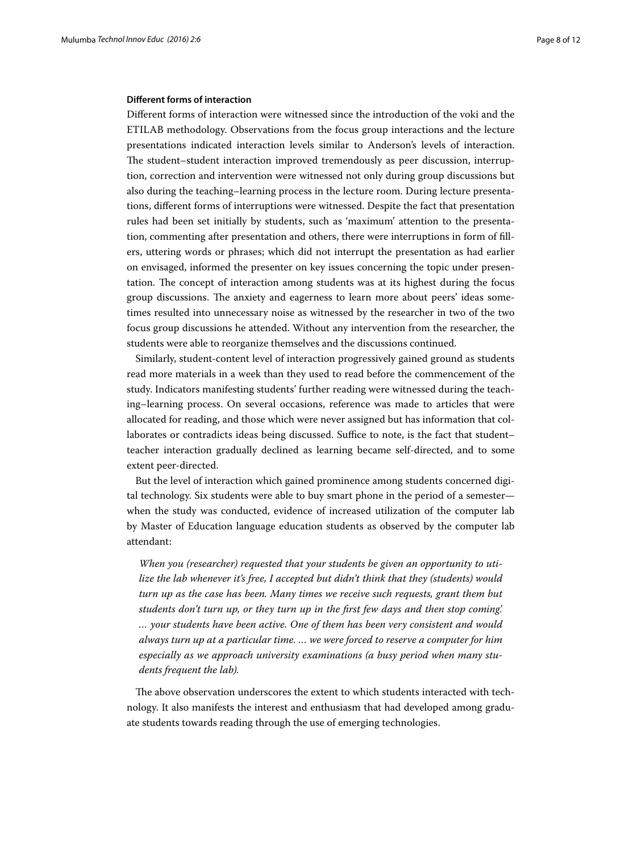#### **Different forms of interaction**

Different forms of interaction were witnessed since the introduction of the voki and the ETILAB methodology. Observations from the focus group interactions and the lecture presentations indicated interaction levels similar to Anderson's levels of interaction. The student–student interaction improved tremendously as peer discussion, interruption, correction and intervention were witnessed not only during group discussions but also during the teaching–learning process in the lecture room. During lecture presentations, different forms of interruptions were witnessed. Despite the fact that presentation rules had been set initially by students, such as 'maximum' attention to the presentation, commenting after presentation and others, there were interruptions in form of fillers, uttering words or phrases; which did not interrupt the presentation as had earlier on envisaged, informed the presenter on key issues concerning the topic under presentation. The concept of interaction among students was at its highest during the focus group discussions. The anxiety and eagerness to learn more about peers' ideas sometimes resulted into unnecessary noise as witnessed by the researcher in two of the two focus group discussions he attended. Without any intervention from the researcher, the students were able to reorganize themselves and the discussions continued.

Similarly, student-content level of interaction progressively gained ground as students read more materials in a week than they used to read before the commencement of the study. Indicators manifesting students' further reading were witnessed during the teaching–learning process. On several occasions, reference was made to articles that were allocated for reading, and those which were never assigned but has information that collaborates or contradicts ideas being discussed. Suffice to note, is the fact that student– teacher interaction gradually declined as learning became self-directed, and to some extent peer-directed.

But the level of interaction which gained prominence among students concerned digital technology. Six students were able to buy smart phone in the period of a semester when the study was conducted, evidence of increased utilization of the computer lab by Master of Education language education students as observed by the computer lab attendant:

*When you (researcher) requested that your students be given an opportunity to utilize the lab whenever it's free, I accepted but didn't think that they (students) would turn up as the case has been. Many times we receive such requests, grant them but students don't turn up, or they turn up in the first few days and then stop coming'. … your students have been active. One of them has been very consistent and would always turn up at a particular time. … we were forced to reserve a computer for him especially as we approach university examinations (a busy period when many students frequent the lab).*

The above observation underscores the extent to which students interacted with technology. It also manifests the interest and enthusiasm that had developed among graduate students towards reading through the use of emerging technologies.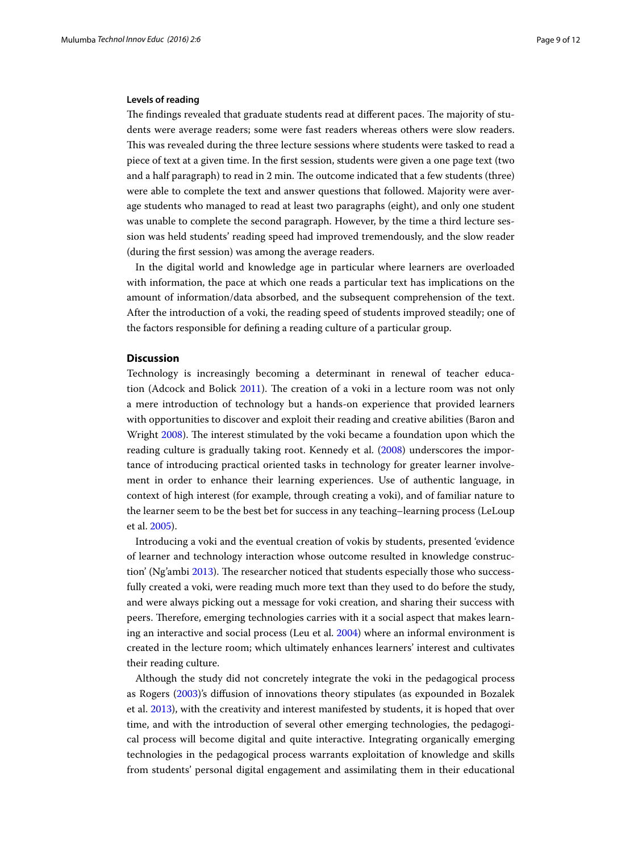#### **Levels of reading**

The findings revealed that graduate students read at different paces. The majority of students were average readers; some were fast readers whereas others were slow readers. This was revealed during the three lecture sessions where students were tasked to read a piece of text at a given time. In the first session, students were given a one page text (two and a half paragraph) to read in 2 min. The outcome indicated that a few students (three) were able to complete the text and answer questions that followed. Majority were average students who managed to read at least two paragraphs (eight), and only one student was unable to complete the second paragraph. However, by the time a third lecture session was held students' reading speed had improved tremendously, and the slow reader (during the first session) was among the average readers.

In the digital world and knowledge age in particular where learners are overloaded with information, the pace at which one reads a particular text has implications on the amount of information/data absorbed, and the subsequent comprehension of the text. After the introduction of a voki, the reading speed of students improved steadily; one of the factors responsible for defining a reading culture of a particular group.

## **Discussion**

Technology is increasingly becoming a determinant in renewal of teacher education (Adcock and Bolick [2011\)](#page-10-0). The creation of a voki in a lecture room was not only a mere introduction of technology but a hands-on experience that provided learners with opportunities to discover and exploit their reading and creative abilities (Baron and Wright [2008](#page-11-20)). The interest stimulated by the voki became a foundation upon which the reading culture is gradually taking root. Kennedy et al. ([2008](#page-11-21)) underscores the importance of introducing practical oriented tasks in technology for greater learner involvement in order to enhance their learning experiences. Use of authentic language, in context of high interest (for example, through creating a voki), and of familiar nature to the learner seem to be the best bet for success in any teaching–learning process (LeLoup et al. [2005\)](#page-11-22).

Introducing a voki and the eventual creation of vokis by students, presented 'evidence of learner and technology interaction whose outcome resulted in knowledge construction' (Ng'ambi [2013\)](#page-11-23). The researcher noticed that students especially those who successfully created a voki, were reading much more text than they used to do before the study, and were always picking out a message for voki creation, and sharing their success with peers. Therefore, emerging technologies carries with it a social aspect that makes learning an interactive and social process (Leu et al. [2004](#page-11-24)) where an informal environment is created in the lecture room; which ultimately enhances learners' interest and cultivates their reading culture.

Although the study did not concretely integrate the voki in the pedagogical process as Rogers ([2003\)](#page-11-25)'s diffusion of innovations theory stipulates (as expounded in Bozalek et al. [2013](#page-11-2)), with the creativity and interest manifested by students, it is hoped that over time, and with the introduction of several other emerging technologies, the pedagogical process will become digital and quite interactive. Integrating organically emerging technologies in the pedagogical process warrants exploitation of knowledge and skills from students' personal digital engagement and assimilating them in their educational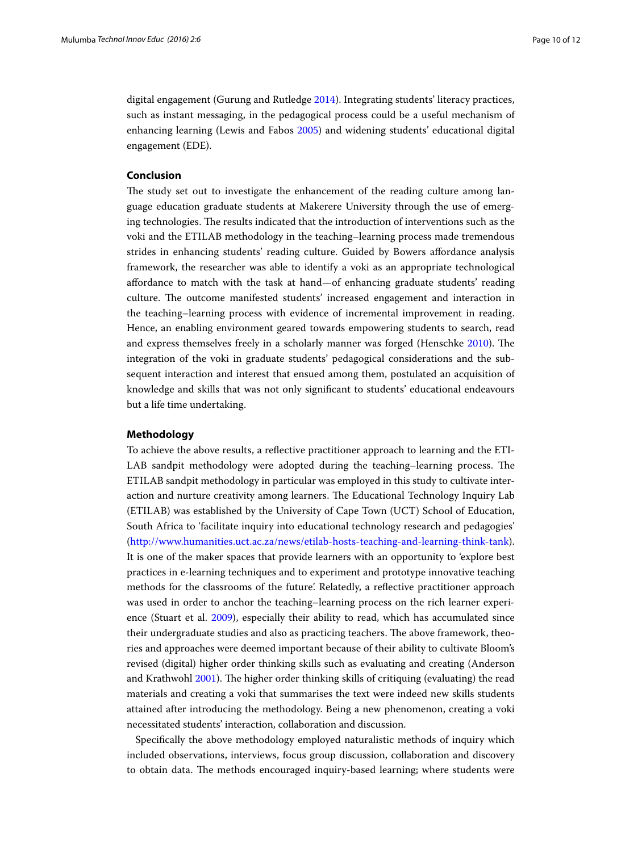digital engagement (Gurung and Rutledge [2014](#page-11-9)). Integrating students' literacy practices, such as instant messaging, in the pedagogical process could be a useful mechanism of enhancing learning (Lewis and Fabos [2005](#page-11-26)) and widening students' educational digital engagement (EDE).

## **Conclusion**

The study set out to investigate the enhancement of the reading culture among language education graduate students at Makerere University through the use of emerging technologies. The results indicated that the introduction of interventions such as the voki and the ETILAB methodology in the teaching–learning process made tremendous strides in enhancing students' reading culture. Guided by Bowers affordance analysis framework, the researcher was able to identify a voki as an appropriate technological affordance to match with the task at hand—of enhancing graduate students' reading culture. The outcome manifested students' increased engagement and interaction in the teaching–learning process with evidence of incremental improvement in reading. Hence, an enabling environment geared towards empowering students to search, read and express themselves freely in a scholarly manner was forged (Henschke [2010](#page-11-27)). The integration of the voki in graduate students' pedagogical considerations and the subsequent interaction and interest that ensued among them, postulated an acquisition of knowledge and skills that was not only significant to students' educational endeavours but a life time undertaking.

# **Methodology**

To achieve the above results, a reflective practitioner approach to learning and the ETI-LAB sandpit methodology were adopted during the teaching–learning process. The ETILAB sandpit methodology in particular was employed in this study to cultivate interaction and nurture creativity among learners. The Educational Technology Inquiry Lab (ETILAB) was established by the University of Cape Town (UCT) School of Education, South Africa to 'facilitate inquiry into educational technology research and pedagogies' (<http://www.humanities.uct.ac.za/news/etilab-hosts-teaching-and-learning-think-tank>). It is one of the maker spaces that provide learners with an opportunity to 'explore best practices in e-learning techniques and to experiment and prototype innovative teaching methods for the classrooms of the future'. Relatedly, a reflective practitioner approach was used in order to anchor the teaching–learning process on the rich learner experience (Stuart et al. [2009\)](#page-11-28), especially their ability to read, which has accumulated since their undergraduate studies and also as practicing teachers. The above framework, theories and approaches were deemed important because of their ability to cultivate Bloom's revised (digital) higher order thinking skills such as evaluating and creating (Anderson and Krathwohl [2001\)](#page-11-29). The higher order thinking skills of critiquing (evaluating) the read materials and creating a voki that summarises the text were indeed new skills students attained after introducing the methodology. Being a new phenomenon, creating a voki necessitated students' interaction, collaboration and discussion.

Specifically the above methodology employed naturalistic methods of inquiry which included observations, interviews, focus group discussion, collaboration and discovery to obtain data. The methods encouraged inquiry-based learning; where students were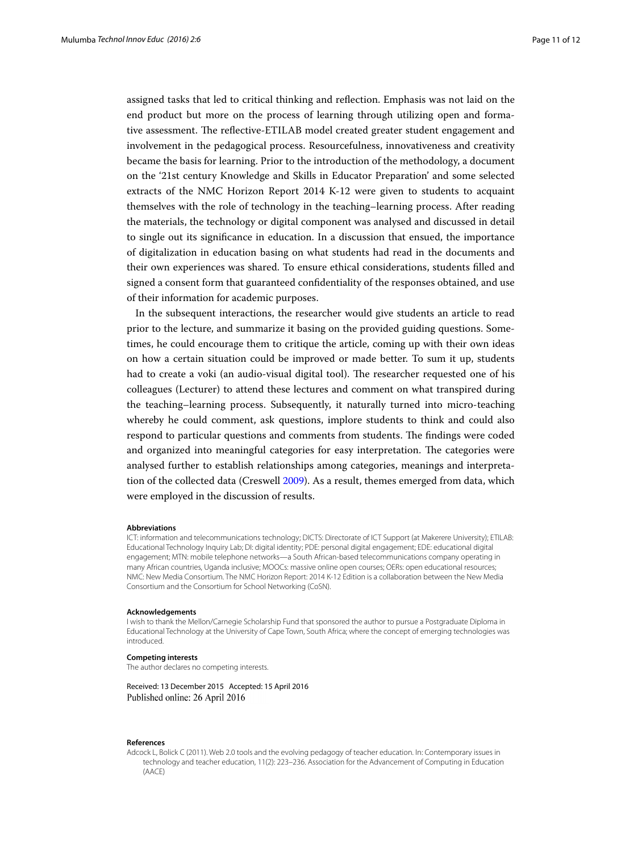assigned tasks that led to critical thinking and reflection. Emphasis was not laid on the end product but more on the process of learning through utilizing open and formative assessment. The reflective-ETILAB model created greater student engagement and involvement in the pedagogical process. Resourcefulness, innovativeness and creativity became the basis for learning. Prior to the introduction of the methodology, a document on the '21st century Knowledge and Skills in Educator Preparation' and some selected extracts of the NMC Horizon Report 2014 K-12 were given to students to acquaint themselves with the role of technology in the teaching–learning process. After reading the materials, the technology or digital component was analysed and discussed in detail to single out its significance in education. In a discussion that ensued, the importance of digitalization in education basing on what students had read in the documents and their own experiences was shared. To ensure ethical considerations, students filled and signed a consent form that guaranteed confidentiality of the responses obtained, and use of their information for academic purposes.

In the subsequent interactions, the researcher would give students an article to read prior to the lecture, and summarize it basing on the provided guiding questions. Sometimes, he could encourage them to critique the article, coming up with their own ideas on how a certain situation could be improved or made better. To sum it up, students had to create a voki (an audio-visual digital tool). The researcher requested one of his colleagues (Lecturer) to attend these lectures and comment on what transpired during the teaching–learning process. Subsequently, it naturally turned into micro-teaching whereby he could comment, ask questions, implore students to think and could also respond to particular questions and comments from students. The findings were coded and organized into meaningful categories for easy interpretation. The categories were analysed further to establish relationships among categories, meanings and interpretation of the collected data (Creswell [2009](#page-11-30)). As a result, themes emerged from data, which were employed in the discussion of results.

#### **Abbreviations**

ICT: information and telecommunications technology; DICTS: Directorate of ICT Support (at Makerere University); ETILAB: Educational Technology Inquiry Lab; DI: digital identity; PDE: personal digital engagement; EDE: educational digital engagement; MTN: mobile telephone networks—a South African-based telecommunications company operating in many African countries, Uganda inclusive; MOOCs: massive online open courses; OERs: open educational resources; NMC: New Media Consortium. The NMC Horizon Report: 2014 K-12 Edition is a collaboration between the New Media Consortium and the Consortium for School Networking (CoSN).

#### **Acknowledgements**

I wish to thank the Mellon/Carnegie Scholarship Fund that sponsored the author to pursue a Postgraduate Diploma in Educational Technology at the University of Cape Town, South Africa; where the concept of emerging technologies was introduced.

#### **Competing interests**

The author declares no competing interests.

Received: 13 December 2015 Accepted: 15 April 2016 Published online: 26 April 2016

#### **References**

<span id="page-10-0"></span>Adcock L, Bolick C (2011). Web 2.0 tools and the evolving pedagogy of teacher education. In: Contemporary issues in technology and teacher education, 11(2): 223–236. Association for the Advancement of Computing in Education (AACE)